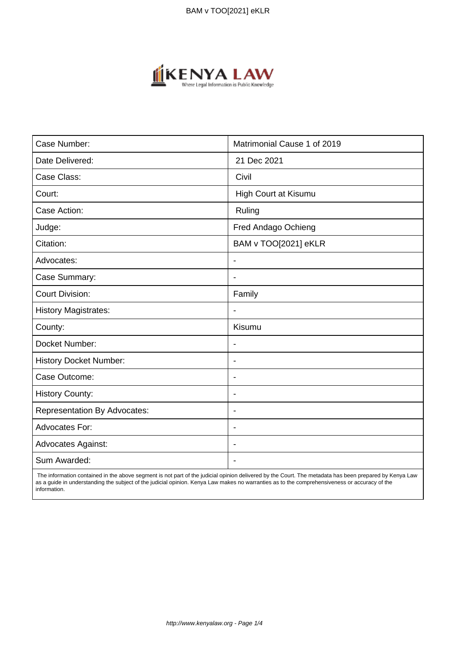

| Case Number:                        | Matrimonial Cause 1 of 2019 |
|-------------------------------------|-----------------------------|
| Date Delivered:                     | 21 Dec 2021                 |
| Case Class:                         | Civil                       |
| Court:                              | High Court at Kisumu        |
| Case Action:                        | Ruling                      |
| Judge:                              | Fred Andago Ochieng         |
| Citation:                           | BAM v TOO[2021] eKLR        |
| Advocates:                          | $\overline{\phantom{a}}$    |
| Case Summary:                       | $\blacksquare$              |
| <b>Court Division:</b>              | Family                      |
| <b>History Magistrates:</b>         | $\blacksquare$              |
| County:                             | Kisumu                      |
| Docket Number:                      |                             |
| <b>History Docket Number:</b>       | $\overline{\phantom{a}}$    |
| Case Outcome:                       | $\blacksquare$              |
| <b>History County:</b>              | $\overline{\phantom{a}}$    |
| <b>Representation By Advocates:</b> | $\overline{\phantom{a}}$    |
| <b>Advocates For:</b>               | $\blacksquare$              |
| Advocates Against:                  | ٠                           |
| Sum Awarded:                        |                             |

 The information contained in the above segment is not part of the judicial opinion delivered by the Court. The metadata has been prepared by Kenya Law as a guide in understanding the subject of the judicial opinion. Kenya Law makes no warranties as to the comprehensiveness or accuracy of the information.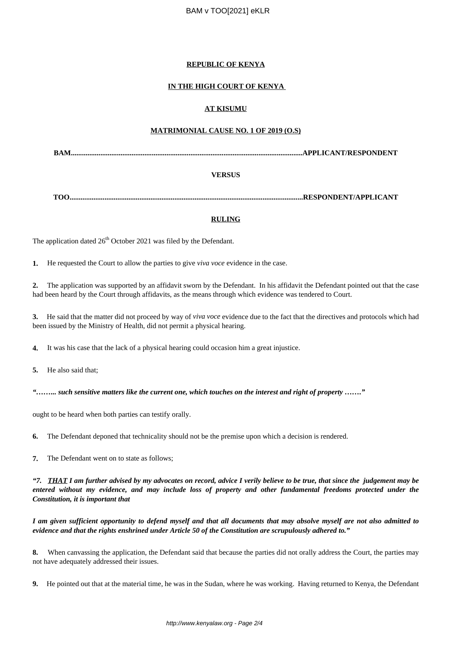# **REPUBLIC OF KENYA**

# **IN THE HIGH COURT OF KENYA**

# **AT KISUMU**

#### **MATRIMONIAL CAUSE NO. 1 OF 2019 (O.S)**

**BAM..............................................................................................................................APPLICANT/RESPONDENT**

#### **VERSUS**

**TOO...............................................................................................................................RESPONDENT/APPLICANT**

#### **RULING**

The application dated  $26<sup>th</sup>$  October 2021 was filed by the Defendant.

**1.** He requested the Court to allow the parties to give *viva voce* evidence in the case.

**2.** The application was supported by an affidavit sworn by the Defendant. In his affidavit the Defendant pointed out that the case had been heard by the Court through affidavits, as the means through which evidence was tendered to Court.

**3.** He said that the matter did not proceed by way of *viva voce* evidence due to the fact that the directives and protocols which had been issued by the Ministry of Health, did not permit a physical hearing.

**4.** It was his case that the lack of a physical hearing could occasion him a great injustice.

**5.** He also said that;

*"……... such sensitive matters like the current one, which touches on the interest and right of property ……."*

ought to be heard when both parties can testify orally.

**6.** The Defendant deponed that technicality should not be the premise upon which a decision is rendered.

**7.** The Defendant went on to state as follows;

*"7. THAT I am further advised by my advocates on record, advice I verily believe to be true, that since the judgement may be entered without my evidence, and may include loss of property and other fundamental freedoms protected under the Constitution, it is important that* 

*I am given sufficient opportunity to defend myself and that all documents that may absolve myself are not also admitted to evidence and that the rights enshrined under Article 50 of the Constitution are scrupulously adhered to."*

**8.** When canvassing the application, the Defendant said that because the parties did not orally address the Court, the parties may not have adequately addressed their issues.

**9.** He pointed out that at the material time, he was in the Sudan, where he was working. Having returned to Kenya, the Defendant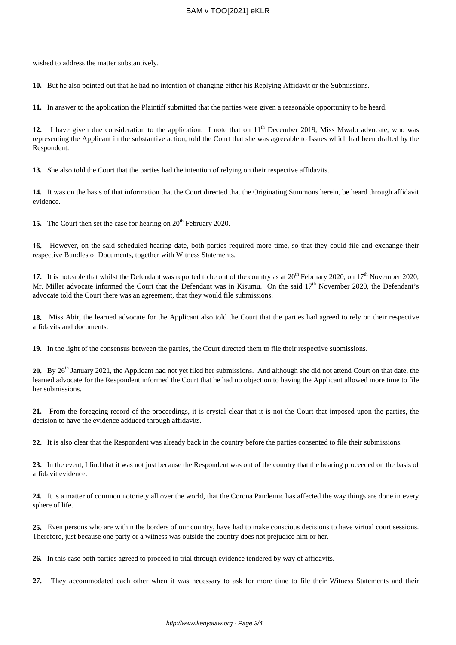wished to address the matter substantively.

**10.** But he also pointed out that he had no intention of changing either his Replying Affidavit or the Submissions.

**11.** In answer to the application the Plaintiff submitted that the parties were given a reasonable opportunity to be heard.

12. I have given due consideration to the application. I note that on 11<sup>th</sup> December 2019, Miss Mwalo advocate, who was representing the Applicant in the substantive action, told the Court that she was agreeable to Issues which had been drafted by the Respondent.

**13.** She also told the Court that the parties had the intention of relying on their respective affidavits.

**14.** It was on the basis of that information that the Court directed that the Originating Summons herein, be heard through affidavit evidence.

**15.** The Court then set the case for hearing on 20<sup>th</sup> February 2020.

**16.** However, on the said scheduled hearing date, both parties required more time, so that they could file and exchange their respective Bundles of Documents, together with Witness Statements.

17. It is noteable that whilst the Defendant was reported to be out of the country as at 20<sup>th</sup> February 2020, on 17<sup>th</sup> November 2020, Mr. Miller advocate informed the Court that the Defendant was in Kisumu. On the said  $17<sup>th</sup>$  November 2020, the Defendant's advocate told the Court there was an agreement, that they would file submissions.

**18.** Miss Abir, the learned advocate for the Applicant also told the Court that the parties had agreed to rely on their respective affidavits and documents.

**19.** In the light of the consensus between the parties, the Court directed them to file their respective submissions.

**20.** By 26<sup>th</sup> January 2021, the Applicant had not yet filed her submissions. And although she did not attend Court on that date, the learned advocate for the Respondent informed the Court that he had no objection to having the Applicant allowed more time to file her submissions.

**21.** From the foregoing record of the proceedings, it is crystal clear that it is not the Court that imposed upon the parties, the decision to have the evidence adduced through affidavits.

**22.** It is also clear that the Respondent was already back in the country before the parties consented to file their submissions.

**23.** In the event, I find that it was not just because the Respondent was out of the country that the hearing proceeded on the basis of affidavit evidence.

**24.** It is a matter of common notoriety all over the world, that the Corona Pandemic has affected the way things are done in every sphere of life.

**25.** Even persons who are within the borders of our country, have had to make conscious decisions to have virtual court sessions. Therefore, just because one party or a witness was outside the country does not prejudice him or her.

**26.** In this case both parties agreed to proceed to trial through evidence tendered by way of affidavits.

**27.** They accommodated each other when it was necessary to ask for more time to file their Witness Statements and their